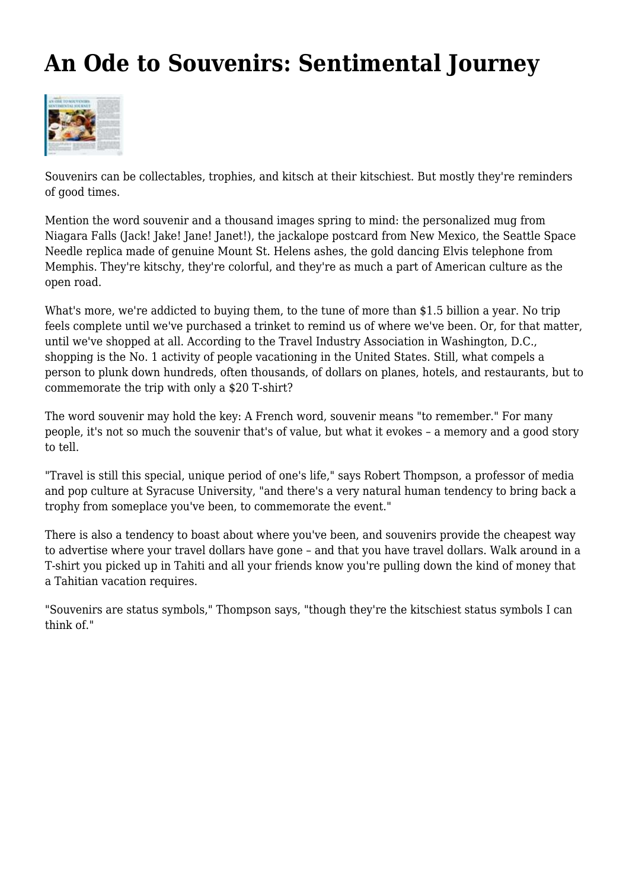## **An Ode to Souvenirs: Sentimental Journey**



Souvenirs can be collectables, trophies, and kitsch at their kitschiest. But mostly they're reminders of good times.

Mention the word souvenir and a thousand images spring to mind: the personalized mug from Niagara Falls (Jack! Jake! Jane! Janet!), the jackalope postcard from New Mexico, the Seattle Space Needle replica made of genuine Mount St. Helens ashes, the gold dancing Elvis telephone from Memphis. They're kitschy, they're colorful, and they're as much a part of American culture as the open road.

What's more, we're addicted to buying them, to the tune of more than \$1.5 billion a year. No trip feels complete until we've purchased a trinket to remind us of where we've been. Or, for that matter, until we've shopped at all. According to the Travel Industry Association in Washington, D.C., shopping is the No. 1 activity of people vacationing in the United States. Still, what compels a person to plunk down hundreds, often thousands, of dollars on planes, hotels, and restaurants, but to commemorate the trip with only a \$20 T-shirt?

The word souvenir may hold the key: A French word, souvenir means "to remember." For many people, it's not so much the souvenir that's of value, but what it evokes – a memory and a good story to tell.

"Travel is still this special, unique period of one's life," says Robert Thompson, a professor of media and pop culture at Syracuse University, "and there's a very natural human tendency to bring back a trophy from someplace you've been, to commemorate the event."

There is also a tendency to boast about where you've been, and souvenirs provide the cheapest way to advertise where your travel dollars have gone – and that you have travel dollars. Walk around in a T-shirt you picked up in Tahiti and all your friends know you're pulling down the kind of money that a Tahitian vacation requires.

"Souvenirs are status symbols," Thompson says, "though they're the kitschiest status symbols I can think of."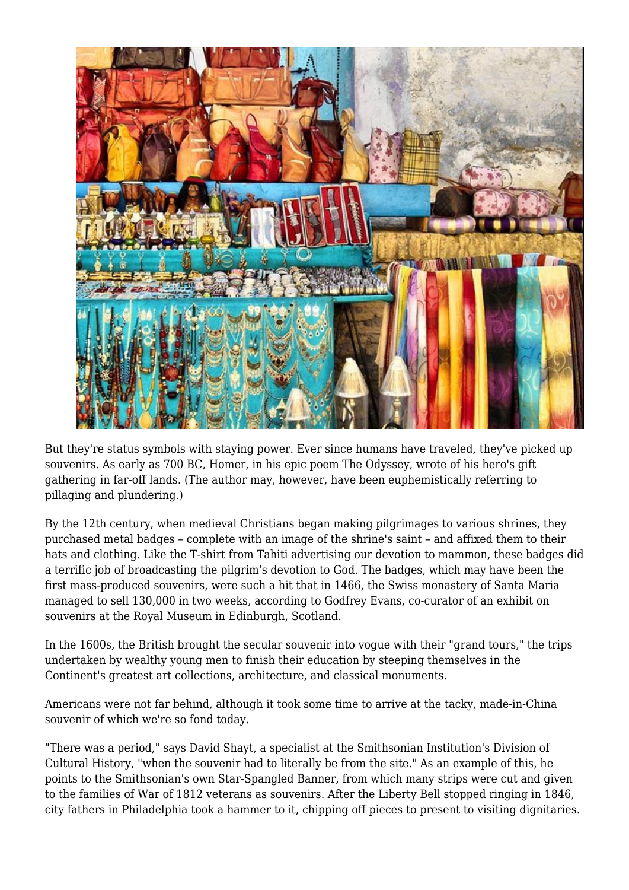

But they're status symbols with staying power. Ever since humans have traveled, they've picked up souvenirs. As early as 700 BC, Homer, in his epic poem The Odyssey, wrote of his hero's gift gathering in far-off lands. (The author may, however, have been euphemistically referring to pillaging and plundering.)

By the 12th century, when medieval Christians began making pilgrimages to various shrines, they purchased metal badges – complete with an image of the shrine's saint – and affixed them to their hats and clothing. Like the T-shirt from Tahiti advertising our devotion to mammon, these badges did a terrific job of broadcasting the pilgrim's devotion to God. The badges, which may have been the first mass-produced souvenirs, were such a hit that in 1466, the Swiss monastery of Santa Maria managed to sell 130,000 in two weeks, according to Godfrey Evans, co-curator of an exhibit on souvenirs at the Royal Museum in Edinburgh, Scotland.

In the 1600s, the British brought the secular souvenir into vogue with their "grand tours," the trips undertaken by wealthy young men to finish their education by steeping themselves in the Continent's greatest art collections, architecture, and classical monuments.

Americans were not far behind, although it took some time to arrive at the tacky, made-in-China souvenir of which we're so fond today.

"There was a period," says David Shayt, a specialist at the Smithsonian Institution's Division of Cultural History, "when the souvenir had to literally be from the site." As an example of this, he points to the Smithsonian's own Star-Spangled Banner, from which many strips were cut and given to the families of War of 1812 veterans as souvenirs. After the Liberty Bell stopped ringing in 1846, city fathers in Philadelphia took a hammer to it, chipping off pieces to present to visiting dignitaries.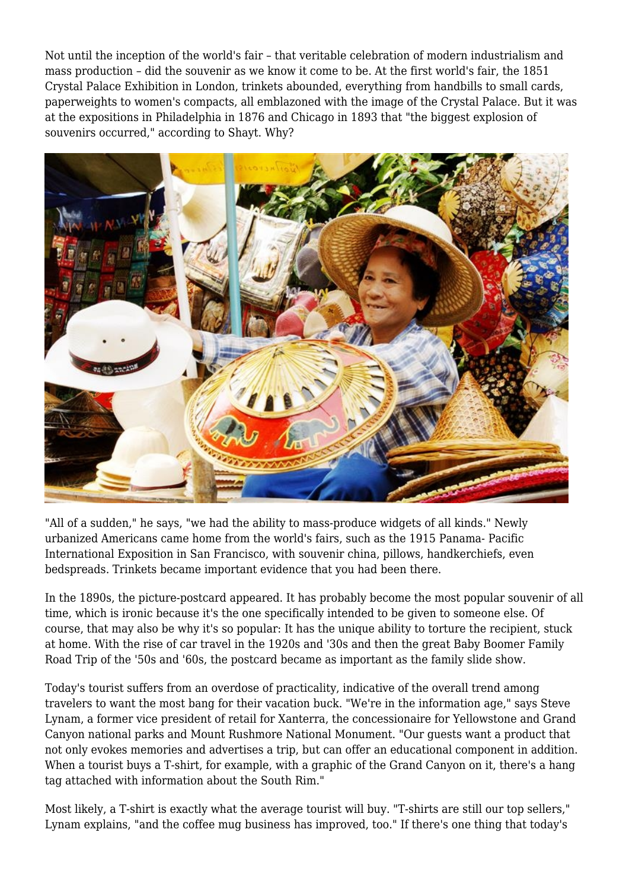Not until the inception of the world's fair – that veritable celebration of modern industrialism and mass production – did the souvenir as we know it come to be. At the first world's fair, the 1851 Crystal Palace Exhibition in London, trinkets abounded, everything from handbills to small cards, paperweights to women's compacts, all emblazoned with the image of the Crystal Palace. But it was at the expositions in Philadelphia in 1876 and Chicago in 1893 that "the biggest explosion of souvenirs occurred," according to Shayt. Why?



"All of a sudden," he says, "we had the ability to mass-produce widgets of all kinds." Newly urbanized Americans came home from the world's fairs, such as the 1915 Panama- Pacific International Exposition in San Francisco, with souvenir china, pillows, handkerchiefs, even bedspreads. Trinkets became important evidence that you had been there.

In the 1890s, the picture-postcard appeared. It has probably become the most popular souvenir of all time, which is ironic because it's the one specifically intended to be given to someone else. Of course, that may also be why it's so popular: It has the unique ability to torture the recipient, stuck at home. With the rise of car travel in the 1920s and '30s and then the great Baby Boomer Family Road Trip of the '50s and '60s, the postcard became as important as the family slide show.

Today's tourist suffers from an overdose of practicality, indicative of the overall trend among travelers to want the most bang for their vacation buck. "We're in the information age," says Steve Lynam, a former vice president of retail for Xanterra, the concessionaire for Yellowstone and Grand Canyon national parks and Mount Rushmore National Monument. "Our guests want a product that not only evokes memories and advertises a trip, but can offer an educational component in addition. When a tourist buys a T-shirt, for example, with a graphic of the Grand Canyon on it, there's a hang tag attached with information about the South Rim."

Most likely, a T-shirt is exactly what the average tourist will buy. "T-shirts are still our top sellers," Lynam explains, "and the coffee mug business has improved, too." If there's one thing that today's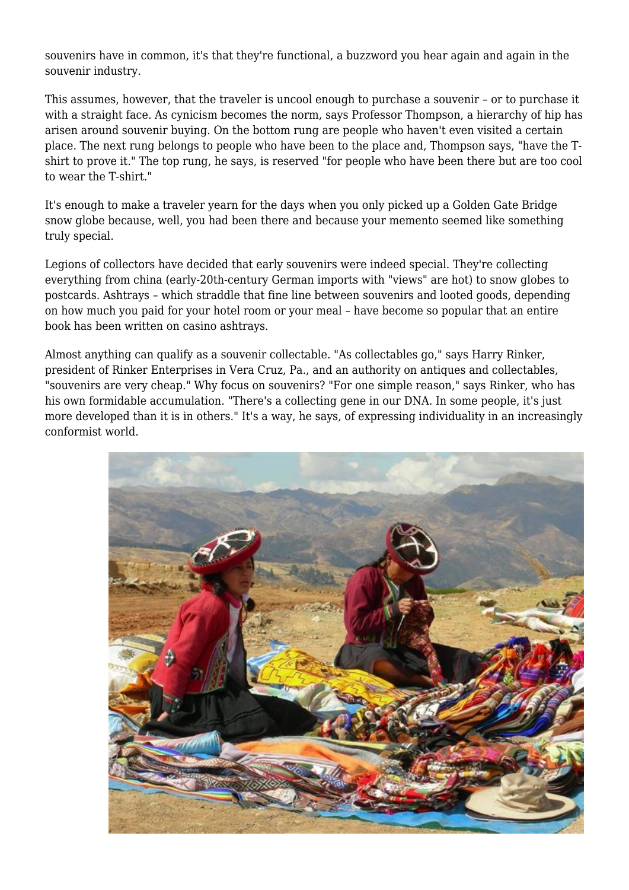souvenirs have in common, it's that they're functional, a buzzword you hear again and again in the souvenir industry.

This assumes, however, that the traveler is uncool enough to purchase a souvenir – or to purchase it with a straight face. As cynicism becomes the norm, says Professor Thompson, a hierarchy of hip has arisen around souvenir buying. On the bottom rung are people who haven't even visited a certain place. The next rung belongs to people who have been to the place and, Thompson says, "have the Tshirt to prove it." The top rung, he says, is reserved "for people who have been there but are too cool to wear the T-shirt."

It's enough to make a traveler yearn for the days when you only picked up a Golden Gate Bridge snow globe because, well, you had been there and because your memento seemed like something truly special.

Legions of collectors have decided that early souvenirs were indeed special. They're collecting everything from china (early-20th-century German imports with "views" are hot) to snow globes to postcards. Ashtrays – which straddle that fine line between souvenirs and looted goods, depending on how much you paid for your hotel room or your meal – have become so popular that an entire book has been written on casino ashtrays.

Almost anything can qualify as a souvenir collectable. "As collectables go," says Harry Rinker, president of Rinker Enterprises in Vera Cruz, Pa., and an authority on antiques and collectables, "souvenirs are very cheap." Why focus on souvenirs? "For one simple reason," says Rinker, who has his own formidable accumulation. "There's a collecting gene in our DNA. In some people, it's just more developed than it is in others." It's a way, he says, of expressing individuality in an increasingly conformist world.